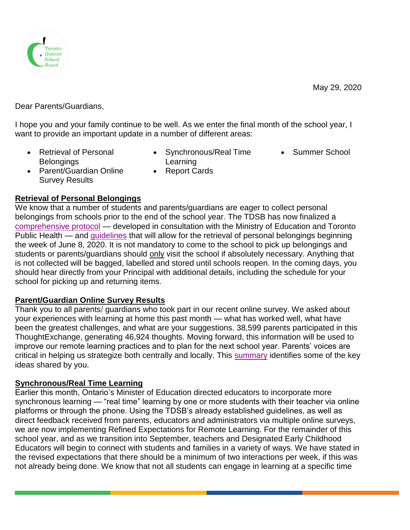

Dear Parents/Guardians,

I hope you and your family continue to be well. As we enter the final month of the school year, I want to provide an important update in a number of different areas:

- Retrieval of Personal **Belongings**
- Synchronous/Real Time Learning • Summer School
- Parent/Guardian Online Survey Results
- Report Cards
- **Retrieval of Personal Belongings**

We know that a number of students and parents/guardians are eager to collect personal belongings from schools prior to the end of the school year. The TDSB has now finalized a [comprehensive protocol](https://www.tdsb.on.ca/Portals/0/docs/Protocol_Student%20Retrieval%20of%20Personal%20Belongings_May%2028_FINAL.pdf) — developed in consultation with the Ministry of Education and Toronto Public Health — and [guidelines](https://www.tdsb.on.ca/Portals/0/docs/Guidelines%20for%20Students%20and%20Parents%20for%20Belonging%20Retrieval_FINAL.pdf) that will allow for the retrieval of personal belongings beginning the week of June 8, 2020. It is not mandatory to come to the school to pick up belongings and students or parents/guardians should only visit the school if absolutely necessary. Anything that is not collected will be bagged, labelled and stored until schools reopen. In the coming days, you should hear directly from your Principal with additional details, including the schedule for your school for picking up and returning items.

## **Parent/Guardian Online Survey Results**

Thank you to all parents/ guardians who took part in our recent online survey. We asked about your experiences with learning at home this past month — what has worked well, what have been the greatest challenges, and what are your suggestions. 38,599 parents participated in this ThoughtExchange, generating 46,924 thoughts. Moving forward, this information will be used to improve our remote learning practices and to plan for the next school year. Parents' voices are critical in helping us strategize both centrally and locally. This [summary](https://www.tdsb.on.ca/Portals/0/docs/ThoughtExchange_ParentSummary.pdf) identifies some of the key ideas shared by you.

## **Synchronous/Real Time Learning**

Earlier this month, Ontario's Minister of Education directed educators to incorporate more synchronous learning — "real time" learning by one or more students with their teacher via online platforms or through the phone. Using the TDSB's already established guidelines, as well as direct feedback received from parents, educators and administrators via multiple online surveys, we are now implementing Refined Expectations for Remote Learning. For the remainder of this school year, and as we transition into September, teachers and Designated Early Childhood Educators will begin to connect with students and families in a variety of ways. We have stated in the revised expectations that there should be a minimum of two interactions per week, if this was not already being done. We know that not all students can engage in learning at a specific time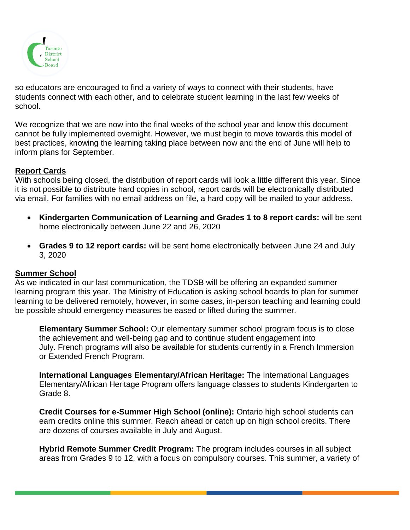

so educators are encouraged to find a variety of ways to connect with their students, have students connect with each other, and to celebrate student learning in the last few weeks of school.

We recognize that we are now into the final weeks of the school year and know this document cannot be fully implemented overnight. However, we must begin to move towards this model of best practices, knowing the learning taking place between now and the end of June will help to inform plans for September.

## **Report Cards**

With schools being closed, the distribution of report cards will look a little different this year. Since it is not possible to distribute hard copies in school, report cards will be electronically distributed via email. For families with no email address on file, a hard copy will be mailed to your address.

- **Kindergarten Communication of Learning and Grades 1 to 8 report cards:** will be sent home electronically between June 22 and 26, 2020
- **Grades 9 to 12 report cards:** will be sent home electronically between June 24 and July 3, 2020

## **Summer School**

As we indicated in our last communication, the TDSB will be offering an expanded summer learning program this year. The Ministry of Education is asking school boards to plan for summer learning to be delivered remotely, however, in some cases, in-person teaching and learning could be possible should emergency measures be eased or lifted during the summer.

**Elementary Summer School:** Our elementary summer school program focus is to close the achievement and well-being gap and to continue student engagement into July. French programs will also be available for students currently in a French Immersion or Extended French Program.

**International Languages Elementary/African Heritage:** The International Languages Elementary/African Heritage Program offers language classes to students Kindergarten to Grade 8.

**Credit Courses for e-Summer High School (online):** Ontario high school students can earn credits online this summer. Reach ahead or catch up on high school credits. There are dozens of courses available in July and August.

**Hybrid Remote Summer Credit Program:** The program includes courses in all subject areas from Grades 9 to 12, with a focus on compulsory courses. This summer, a variety of